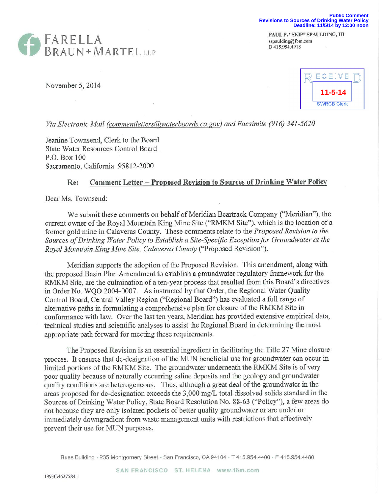

PAUL P. "SKIP" SPAULDING, III sspaulding@fbm.com D 415.954.4918



November 5, 2014



*Via Electronic Mail (comrnentletters@waterboards.ca.gov)and Facsimile (916) 341-5620* 

Jeanine Townsend, Clerk to the Board State Water Resources Control Board P.O. Box 100 Sacramento, California 95812-2000

## **Re: Comment Letter--Proposed Revision to Sources of Drinking Water Policy**

Dear Ms. Townsend:

We submit these comments on behalf of Meridian Beartrack Company ("Meridian"), the current owner of the Royal Mountain King Mine Site ("RMKM Site"), which is the location of a former gold mine in Calaveras County. These comments relate to the *Proposed Revision to the Sources of Drinking Water Policy to Establish a Site-Specific Exception for Groundwater at the Royal Mountain King Mine Site, Calaveras County* ("Proposed Revision").

Meridian supports the adoption of the Proposed Revision. This amendment, along with the proposed Basin Plan Amendment to establish a groundwater regulatory framework for the RMKM Site, are the culmination of a ten-year process that resulted from this Board's directives in Order No. WQO 2004-0007. As instructed by that Order, the Regional Water Quality Control Board, Central Valley Region ("Regional Board") has evaluated a full range of alternative paths in formulating a comprehensive plan for closure of the RMKM Site in conformance with law. Over the last ten years, Meridian has provided extensive empirical data, technical studies and scientific analyses to assist the Regional Board in determining the most appropriate path forward for meeting these requirements.

The Proposed Revision is an essential ingredient in facilitating the Title 27 Mine closure process. It ensures that de-designation of the MUN beneficial use for groundwater can occur in limited portions of the RMKM Site. The groundwater underneath the RMKM Site is of very poor quality because of naturally occurring saline deposits and the geology and groundwater quality conditions are heterogeneous. Thus, although a great deal of the groundwater in the areas proposed for de-designation exceeds the 3,000 mg/L total dissolved solids standard in the Sources of Drinking Water Policy, State Board Resolution No. 88-63 ("Policy"), a few areas do not because they are only isolated pockets of better quality groundwater or are under or immediately downgradient from waste management units with restrictions that effectively prevent their use for MUN purposes.

Russ Building - 235 Montgomery Street - San Francisco, CA 94104 - T 415.954.4400 - F 415.954.4480